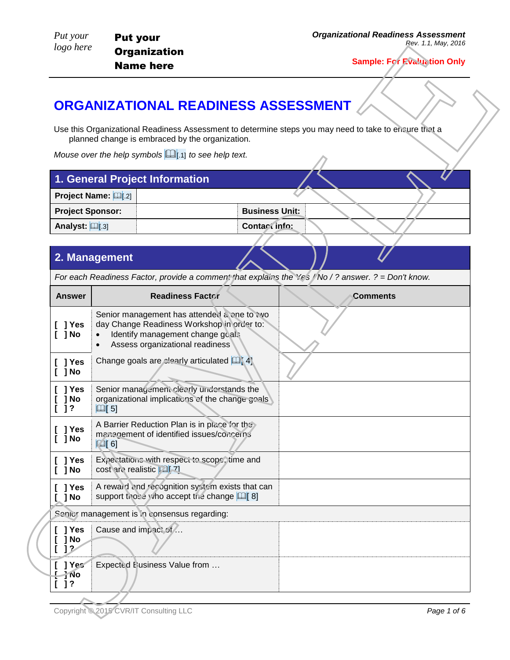# **ORGANIZATIONAL READINESS ASSESSMENT**

| 1. General Project Information |                       |  |
|--------------------------------|-----------------------|--|
| <b>Project Name: [46 [16]</b>  |                       |  |
| <b>Project Sponsor:</b>        | <b>Business Units</b> |  |
| Analyst: [11[.3]               | Contact info:         |  |

### **2. Management**

|                          | <b>ORGANIZATIONAL READINESS ASSESSMENT</b>                                                                                                                       |                         |                                                                                                       |
|--------------------------|------------------------------------------------------------------------------------------------------------------------------------------------------------------|-------------------------|-------------------------------------------------------------------------------------------------------|
|                          | planned change is embraced by the organization.                                                                                                                  |                         | Use this Organizational Readiness Assessment to determine steps you may need to take to ensure that a |
|                          | Mouse over the help symbols $\Box$ [.1] to see help text.                                                                                                        |                         |                                                                                                       |
|                          | 1. General Project Information                                                                                                                                   |                         |                                                                                                       |
|                          | <b>Project Name: [99]</b> [.2]                                                                                                                                   |                         |                                                                                                       |
| <b>Project Sponsor:</b>  |                                                                                                                                                                  |                         | <b>Business Unit:</b>                                                                                 |
| Analyst: $\Box$ [.3]     |                                                                                                                                                                  | Contact info:           |                                                                                                       |
|                          | 2. Management                                                                                                                                                    |                         |                                                                                                       |
|                          |                                                                                                                                                                  |                         | For each Readiness Factor, provide a comment that explains the Yes / No / ? answer. ? = Don't know.   |
| <b>Answer</b>            |                                                                                                                                                                  | <b>Readiness Factor</b> | <b>Comments</b>                                                                                       |
| ] Yes<br>$[$ ] No        | Senior management has attended a one to two<br>day Change Readiness Workshop in order to:<br>Identify management change goals<br>Assess organizational readiness |                         |                                                                                                       |
| ] Yes<br>] No            | Change goals are clearly articulated <b>Q</b> 41                                                                                                                 |                         |                                                                                                       |
| ] Yes<br>] No<br>$[ ]$ ? | Senior management clearly understands the<br>organizational implications of the change goals<br>$\Box$ [5]                                                       |                         |                                                                                                       |
| $[$ ] Yes<br>$[$ $]$ No  | A Barrier Reduction Plan is in place for the<br>management of identified issues/concerns<br>$\mathbb{Q}[6]$                                                      |                         |                                                                                                       |
|                          | Expectations with respect to scope, time and<br>cost are realistic [2][71                                                                                        |                         |                                                                                                       |
| $[$ ] Yes<br>$[$ ] No    | A reward and recognition system exists that can<br>support those who accept the change [1] [8]                                                                   |                         |                                                                                                       |
| ] Yes<br>] No            |                                                                                                                                                                  |                         |                                                                                                       |
|                          | Senior management is in consensus regarding:                                                                                                                     |                         |                                                                                                       |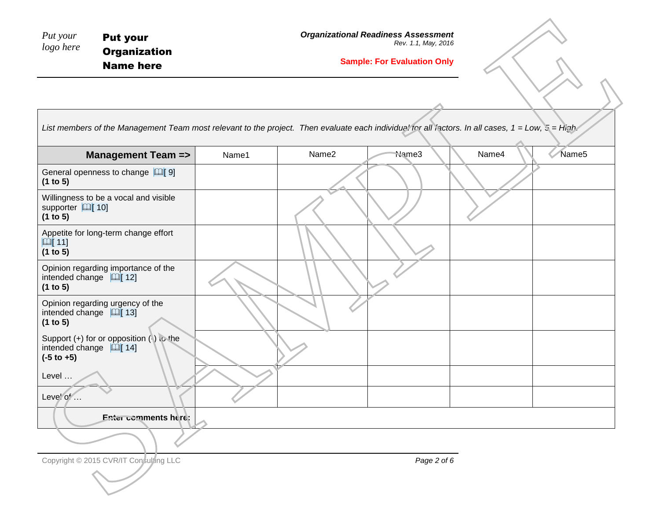| Put your  | <b>Put your</b>     |
|-----------|---------------------|
| logo here | <b>Organization</b> |
|           | <b>Name here</b>    |

#### **Sample: For Evaluation Only**

| Put your<br>logo here                                | <b>Put your</b><br><b>Organization</b><br><b>Name here</b>                                                                                        |       |       | <b>Organizational Readiness Assessment</b><br>Rev. 1.1, May, 2016<br><b>Sample: For Evaluation Only</b> |       |                   |
|------------------------------------------------------|---------------------------------------------------------------------------------------------------------------------------------------------------|-------|-------|---------------------------------------------------------------------------------------------------------|-------|-------------------|
|                                                      | List members of the Management Team most relevant to the project. Then evaluate each individual for all factors. In all cases, 1 = Low, 5 = high. |       |       |                                                                                                         |       |                   |
|                                                      | <b>Management Team =&gt;</b>                                                                                                                      | Name1 | Name2 | Name3                                                                                                   | Name4 | Name <sub>5</sub> |
| (1 to 5)                                             | General openness to change $[4]$ 9]                                                                                                               |       |       |                                                                                                         |       |                   |
| supporter   10]<br>(1 to 5)                          | Willingness to be a vocal and visible                                                                                                             |       |       |                                                                                                         |       |                   |
| $\mathbb{Q}$ [11]<br>(1 to 5)                        | Appetite for long-term change effort                                                                                                              |       |       |                                                                                                         |       |                   |
| intended change $\Box$ [12]<br>(1 to 5)              | Opinion regarding importance of the                                                                                                               |       |       |                                                                                                         |       |                   |
| intended change $\Box$ [13]<br>(1 to 5)              | Opinion regarding urgency of the                                                                                                                  |       |       |                                                                                                         |       |                   |
| intended change $\Box$ [14]<br>$(-5 \text{ to } +5)$ | Support (+) for or opposition (-) to the                                                                                                          |       |       |                                                                                                         |       |                   |
| Level                                                |                                                                                                                                                   |       |       |                                                                                                         |       |                   |
| Level of                                             | Enter comments here:                                                                                                                              |       |       |                                                                                                         |       |                   |
|                                                      |                                                                                                                                                   |       |       |                                                                                                         |       |                   |
|                                                      | Copyright © 2015 CVR/IT Consulting LLC                                                                                                            |       |       | Page 2 of 6                                                                                             |       |                   |